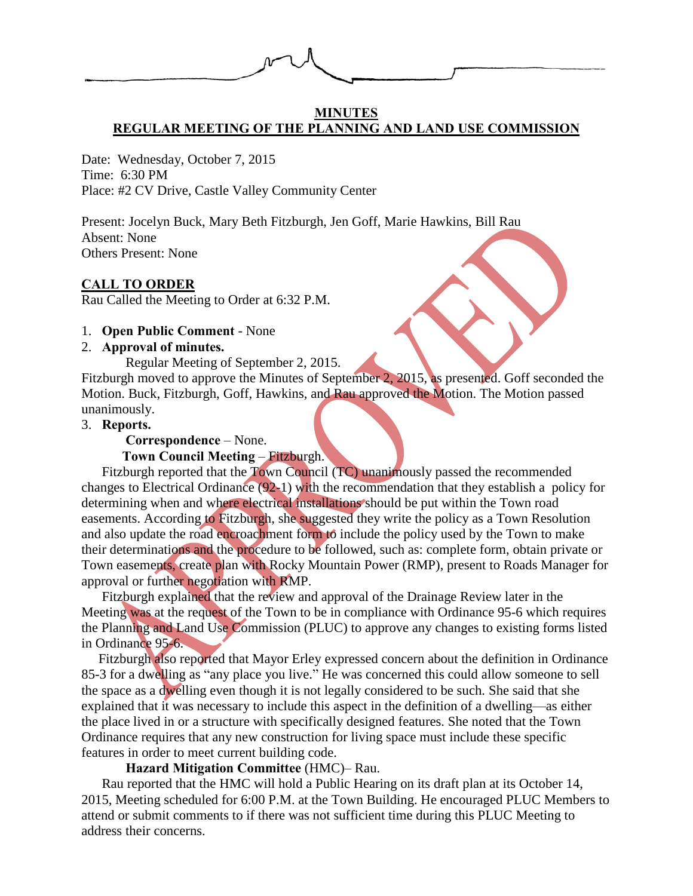

#### **MINUTES REGULAR MEETING OF THE PLANNING AND LAND USE COMMISSION**

Date: Wednesday, October 7, 2015 Time: 6:30 PM Place: #2 CV Drive, Castle Valley Community Center

Present: Jocelyn Buck, Mary Beth Fitzburgh, Jen Goff, Marie Hawkins, Bill Rau Absent: None Others Present: None

#### **CALL TO ORDER**

Rau Called the Meeting to Order at 6:32 P.M.

#### 1. **Open Public Comment** - None

### 2. **Approval of minutes.**

Regular Meeting of September 2, 2015.

Fitzburgh moved to approve the Minutes of September 2, 2015, as presented. Goff seconded the Motion. Buck, Fitzburgh, Goff, Hawkins, and Rau approved the Motion. The Motion passed unanimously.

#### 3. **Reports.**

**Correspondence** – None.

#### **Town Council Meeting** – Fitzburgh.

Fitzburgh reported that the Town Council (TC) unanimously passed the recommended changes to Electrical Ordinance (92-1) with the recommendation that they establish a policy for determining when and where electrical installations should be put within the Town road easements. According to Fitzburgh, she suggested they write the policy as a Town Resolution and also update the road encroachment form to include the policy used by the Town to make their determinations and the procedure to be followed, such as: complete form, obtain private or Town easements, create plan with Rocky Mountain Power (RMP), present to Roads Manager for approval or further negotiation with RMP.

Fitzburgh explained that the review and approval of the Drainage Review later in the Meeting was at the request of the Town to be in compliance with Ordinance 95-6 which requires the Planning and Land Use Commission (PLUC) to approve any changes to existing forms listed in Ordinance 95-6.

 Fitzburgh also reported that Mayor Erley expressed concern about the definition in Ordinance 85-3 for a dwelling as "any place you live." He was concerned this could allow someone to sell the space as a dwelling even though it is not legally considered to be such. She said that she explained that it was necessary to include this aspect in the definition of a dwelling—as either the place lived in or a structure with specifically designed features. She noted that the Town Ordinance requires that any new construction for living space must include these specific features in order to meet current building code.

### **Hazard Mitigation Committee** (HMC)– Rau.

Rau reported that the HMC will hold a Public Hearing on its draft plan at its October 14, 2015, Meeting scheduled for 6:00 P.M. at the Town Building. He encouraged PLUC Members to attend or submit comments to if there was not sufficient time during this PLUC Meeting to address their concerns.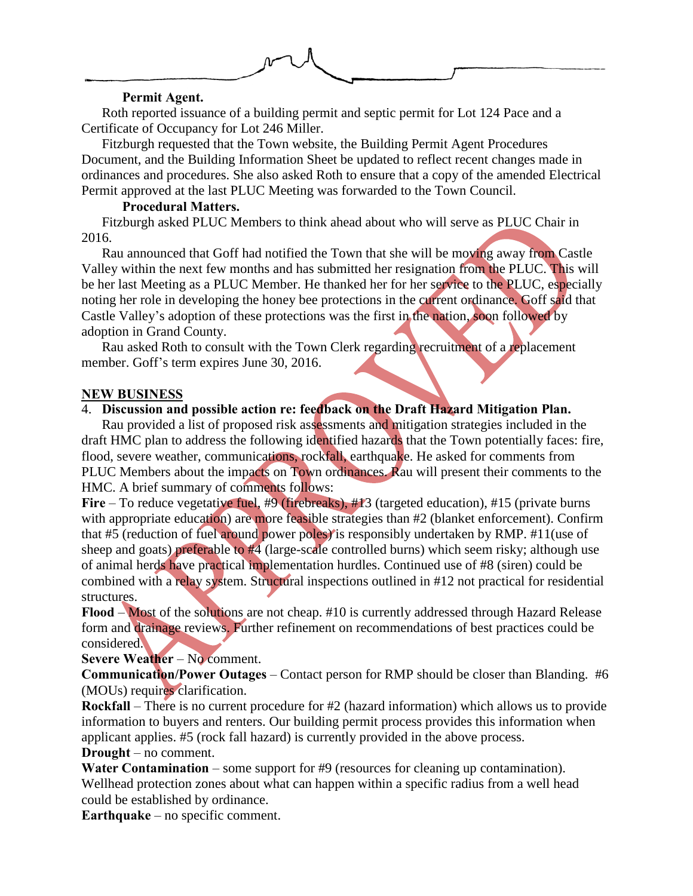

#### **Permit Agent.**

Roth reported issuance of a building permit and septic permit for Lot 124 Pace and a Certificate of Occupancy for Lot 246 Miller.

Fitzburgh requested that the Town website, the Building Permit Agent Procedures Document, and the Building Information Sheet be updated to reflect recent changes made in ordinances and procedures. She also asked Roth to ensure that a copy of the amended Electrical Permit approved at the last PLUC Meeting was forwarded to the Town Council.

### **Procedural Matters.**

Fitzburgh asked PLUC Members to think ahead about who will serve as PLUC Chair in 2016.

Rau announced that Goff had notified the Town that she will be moving away from Castle Valley within the next few months and has submitted her resignation from the PLUC. This will be her last Meeting as a PLUC Member. He thanked her for her service to the PLUC, especially noting her role in developing the honey bee protections in the current ordinance. Goff said that Castle Valley's adoption of these protections was the first in the nation, soon followed by adoption in Grand County.

Rau asked Roth to consult with the Town Clerk regarding recruitment of a replacement member. Goff's term expires June 30, 2016.

## **NEW BUSINESS**

# 4. **Discussion and possible action re: feedback on the Draft Hazard Mitigation Plan.**

Rau provided a list of proposed risk assessments and mitigation strategies included in the draft HMC plan to address the following identified hazards that the Town potentially faces: fire, flood, severe weather, communications, rockfall, earthquake. He asked for comments from PLUC Members about the impacts on Town ordinances. Rau will present their comments to the HMC. A brief summary of comments follows:

Fire – To reduce vegetative fuel, #9 (firebreaks), #13 (targeted education), #15 (private burns with appropriate education) are more feasible strategies than #2 (blanket enforcement). Confirm that #5 (reduction of fuel around power poles) is responsibly undertaken by RMP. #11(use of sheep and goats) preferable to #4 (large-scale controlled burns) which seem risky; although use of animal herds have practical implementation hurdles. Continued use of #8 (siren) could be combined with a relay system. Structural inspections outlined in #12 not practical for residential structures.

**Flood** – Most of the solutions are not cheap. #10 is currently addressed through Hazard Release form and drainage reviews. Further refinement on recommendations of best practices could be considered.

### **Severe Weather** – No comment.

**Communication/Power Outages** – Contact person for RMP should be closer than Blanding. #6 (MOUs) requires clarification.

**Rockfall** – There is no current procedure for #2 (hazard information) which allows us to provide information to buyers and renters. Our building permit process provides this information when applicant applies. #5 (rock fall hazard) is currently provided in the above process. **Drought** – no comment.

**Water Contamination** – some support for #9 (resources for cleaning up contamination). Wellhead protection zones about what can happen within a specific radius from a well head could be established by ordinance.

**Earthquake** – no specific comment.